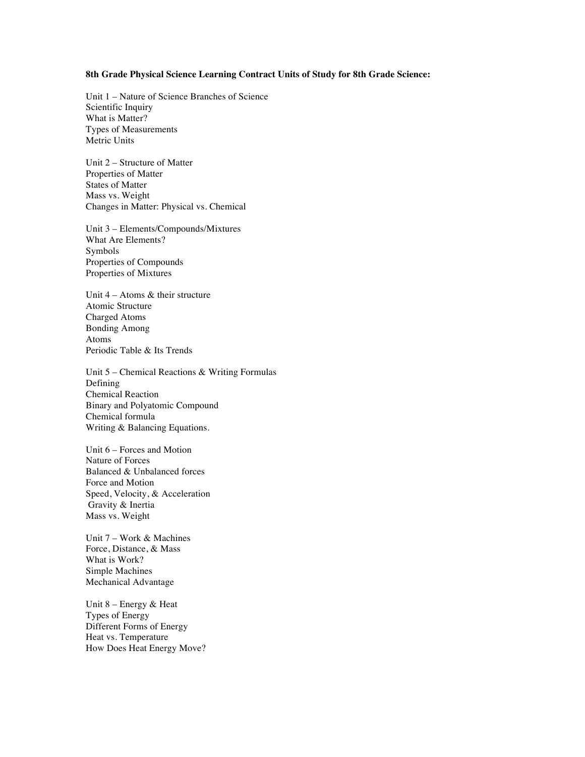#### **8th Grade Physical Science Learning Contract Units of Study for 8th Grade Science:**

Unit 1 – Nature of Science Branches of Science Scientific Inquiry What is Matter? Types of Measurements Metric Units

Unit 2 – Structure of Matter Properties of Matter States of Matter Mass vs. Weight Changes in Matter: Physical vs. Chemical

Unit 3 – Elements/Compounds/Mixtures What Are Elements? Symbols Properties of Compounds Properties of Mixtures

Unit 4 – Atoms & their structure Atomic Structure Charged Atoms Bonding Among Atoms Periodic Table & Its Trends

Unit 5 – Chemical Reactions & Writing Formulas Defining Chemical Reaction Binary and Polyatomic Compound Chemical formula Writing & Balancing Equations.

Unit 6 – Forces and Motion Nature of Forces Balanced & Unbalanced forces Force and Motion Speed, Velocity, & Acceleration Gravity & Inertia Mass vs. Weight

Unit 7 – Work & Machines Force, Distance, & Mass What is Work? Simple Machines Mechanical Advantage

Unit 8 – Energy & Heat Types of Energy Different Forms of Energy Heat vs. Temperature How Does Heat Energy Move?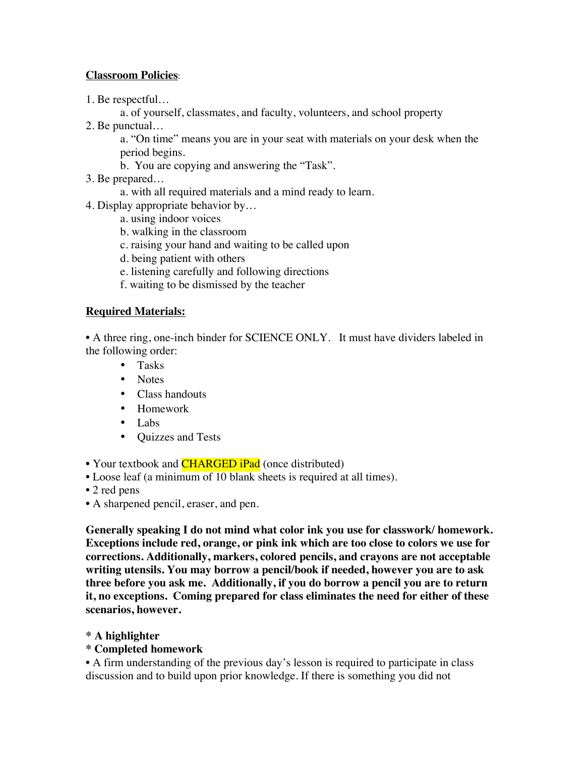## **Classroom Policies**:

1. Be respectful…

a. of yourself, classmates, and faculty, volunteers, and school property

2. Be punctual…

a. "On time" means you are in your seat with materials on your desk when the period begins.

- b. You are copying and answering the "Task".
- 3. Be prepared…
	- a. with all required materials and a mind ready to learn.
- 4. Display appropriate behavior by…
	- a. using indoor voices
	- b. walking in the classroom
	- c. raising your hand and waiting to be called upon
	- d. being patient with others
	- e. listening carefully and following directions
	- f. waiting to be dismissed by the teacher

# **Required Materials:**

• A three ring, one-inch binder for SCIENCE ONLY. It must have dividers labeled in the following order:

- Tasks
- Notes
- Class handouts
- Homework
- Labs
- Quizzes and Tests

• Your textbook and **CHARGED iPad** (once distributed)

- Loose leaf (a minimum of 10 blank sheets is required at all times).
- 2 red pens
- A sharpened pencil, eraser, and pen.

**Generally speaking I do not mind what color ink you use for classwork/ homework. Exceptions include red, orange, or pink ink which are too close to colors we use for corrections. Additionally, markers, colored pencils, and crayons are not acceptable writing utensils. You may borrow a pencil/book if needed, however you are to ask three before you ask me. Additionally, if you do borrow a pencil you are to return it, no exceptions. Coming prepared for class eliminates the need for either of these scenarios, however.** 

**\* A highlighter**

## **\* Completed homework**

• A firm understanding of the previous day's lesson is required to participate in class discussion and to build upon prior knowledge. If there is something you did not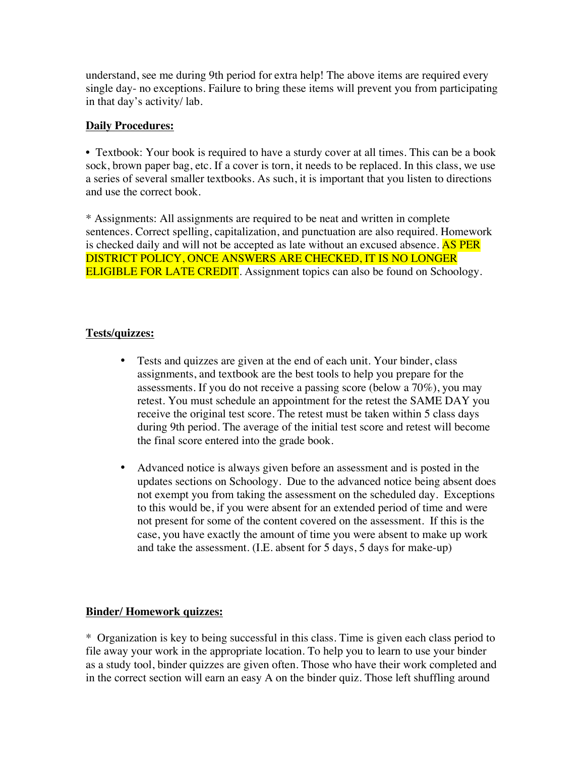understand, see me during 9th period for extra help! The above items are required every single day- no exceptions. Failure to bring these items will prevent you from participating in that day's activity/ lab.

## **Daily Procedures:**

• Textbook: Your book is required to have a sturdy cover at all times. This can be a book sock, brown paper bag, etc. If a cover is torn, it needs to be replaced. In this class, we use a series of several smaller textbooks. As such, it is important that you listen to directions and use the correct book.

\* Assignments: All assignments are required to be neat and written in complete sentences. Correct spelling, capitalization, and punctuation are also required. Homework is checked daily and will not be accepted as late without an excused absence. AS PER DISTRICT POLICY, ONCE ANSWERS ARE CHECKED, IT IS NO LONGER **ELIGIBLE FOR LATE CREDIT**. Assignment topics can also be found on Schoology.

## **Tests/quizzes:**

- Tests and quizzes are given at the end of each unit. Your binder, class assignments, and textbook are the best tools to help you prepare for the assessments. If you do not receive a passing score (below a 70%), you may retest. You must schedule an appointment for the retest the SAME DAY you receive the original test score. The retest must be taken within 5 class days during 9th period. The average of the initial test score and retest will become the final score entered into the grade book.
- Advanced notice is always given before an assessment and is posted in the updates sections on Schoology. Due to the advanced notice being absent does not exempt you from taking the assessment on the scheduled day. Exceptions to this would be, if you were absent for an extended period of time and were not present for some of the content covered on the assessment. If this is the case, you have exactly the amount of time you were absent to make up work and take the assessment. (I.E. absent for 5 days, 5 days for make-up)

### **Binder/ Homework quizzes:**

\* Organization is key to being successful in this class. Time is given each class period to file away your work in the appropriate location. To help you to learn to use your binder as a study tool, binder quizzes are given often. Those who have their work completed and in the correct section will earn an easy A on the binder quiz. Those left shuffling around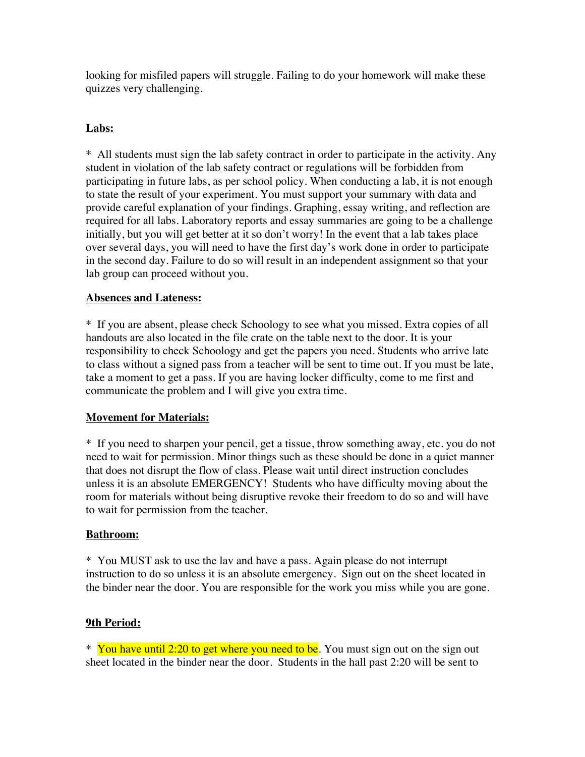looking for misfiled papers will struggle. Failing to do your homework will make these quizzes very challenging.

## **Labs:**

\* All students must sign the lab safety contract in order to participate in the activity. Any student in violation of the lab safety contract or regulations will be forbidden from participating in future labs, as per school policy. When conducting a lab, it is not enough to state the result of your experiment. You must support your summary with data and provide careful explanation of your findings. Graphing, essay writing, and reflection are required for all labs. Laboratory reports and essay summaries are going to be a challenge initially, but you will get better at it so don't worry! In the event that a lab takes place over several days, you will need to have the first day's work done in order to participate in the second day. Failure to do so will result in an independent assignment so that your lab group can proceed without you.

## **Absences and Lateness:**

\* If you are absent, please check Schoology to see what you missed. Extra copies of all handouts are also located in the file crate on the table next to the door. It is your responsibility to check Schoology and get the papers you need. Students who arrive late to class without a signed pass from a teacher will be sent to time out. If you must be late, take a moment to get a pass. If you are having locker difficulty, come to me first and communicate the problem and I will give you extra time.

### **Movement for Materials:**

\* If you need to sharpen your pencil, get a tissue, throw something away, etc. you do not need to wait for permission. Minor things such as these should be done in a quiet manner that does not disrupt the flow of class. Please wait until direct instruction concludes unless it is an absolute EMERGENCY! Students who have difficulty moving about the room for materials without being disruptive revoke their freedom to do so and will have to wait for permission from the teacher.

### **Bathroom:**

\* You MUST ask to use the lav and have a pass. Again please do not interrupt instruction to do so unless it is an absolute emergency. Sign out on the sheet located in the binder near the door. You are responsible for the work you miss while you are gone.

### **9th Period:**

<sup>\*</sup> You have until 2:20 to get where you need to be. You must sign out on the sign out sheet located in the binder near the door. Students in the hall past 2:20 will be sent to